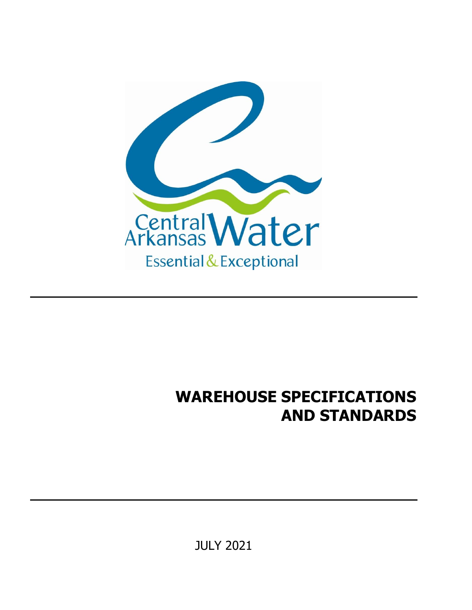

## **WAREHOUSE SPECIFICATIONS AND STANDARDS**

JULY 2021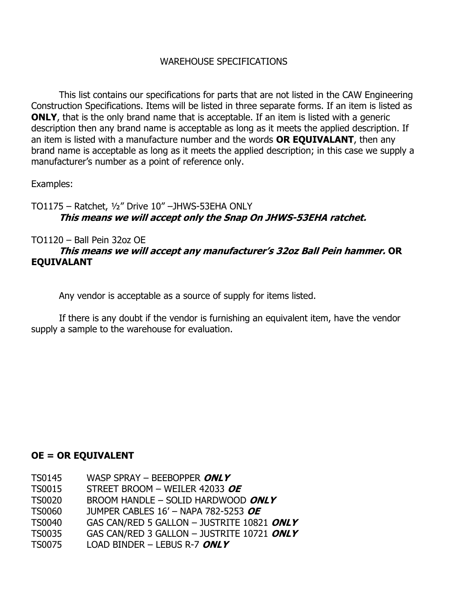## WAREHOUSE SPECIFICATIONS

This list contains our specifications for parts that are not listed in the CAW Engineering Construction Specifications. Items will be listed in three separate forms. If an item is listed as **ONLY**, that is the only brand name that is acceptable. If an item is listed with a generic description then any brand name is acceptable as long as it meets the applied description. If an item is listed with a manufacture number and the words **OR EQUIVALANT**, then any brand name is acceptable as long as it meets the applied description; in this case we supply a manufacturer's number as a point of reference only.

Examples:

TO1175 – Ratchet, ½" Drive 10" –JHWS-53EHA ONLY **This means we will accept only the Snap On JHWS-53EHA ratchet.**

TO1120 – Ball Pein 32oz OE

## **This means we will accept any manufacturer's 32oz Ball Pein hammer. OR EQUIVALANT**

Any vendor is acceptable as a source of supply for items listed.

If there is any doubt if the vendor is furnishing an equivalent item, have the vendor supply a sample to the warehouse for evaluation.

## **OE = OR EQUIVALENT**

- TS0145 WASP SPRAY BEEBOPPER **ONLY**
- TS0015 STREET BROOM WEILER 42033 **OE**
- TS0020 BROOM HANDLE SOLID HARDWOOD **ONLY**
- TS0060 JUMPER CABLES 16' NAPA 782-5253 **OE**
- TS0040 GAS CAN/RED 5 GALLON JUSTRITE 10821 **ONLY**
- TS0035 GAS CAN/RED 3 GALLON JUSTRITE 10721 **ONLY**
- TS0075 LOAD BINDER LEBUS R-7 **ONLY**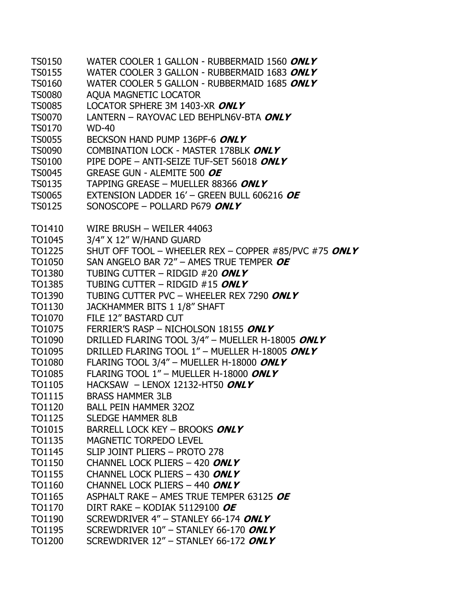| <b>TS0150</b> | WATER COOLER 1 GALLON - RUBBERMAID 1560 ONLY          |
|---------------|-------------------------------------------------------|
| <b>TS0155</b> | WATER COOLER 3 GALLON - RUBBERMAID 1683 ONLY          |
| <b>TS0160</b> | WATER COOLER 5 GALLON - RUBBERMAID 1685 ONLY          |
| <b>TS0080</b> | AQUA MAGNETIC LOCATOR                                 |
| <b>TS0085</b> | LOCATOR SPHERE 3M 1403-XR ONLY                        |
| <b>TS0070</b> | LANTERN - RAYOVAC LED BEHPLN6V-BTA ONLY               |
| <b>TS0170</b> | <b>WD-40</b>                                          |
| <b>TS0055</b> | BECKSON HAND PUMP 136PF-6 ONLY                        |
| <b>TS0090</b> | COMBINATION LOCK - MASTER 178BLK ONLY                 |
| <b>TS0100</b> | PIPE DOPE - ANTI-SEIZE TUF-SET 56018 ONLY             |
| <b>TS0045</b> | GREASE GUN - ALEMITE 500 OE                           |
| <b>TS0135</b> | TAPPING GREASE - MUELLER 88366 ONLY                   |
| <b>TS0065</b> | EXTENSION LADDER 16' - GREEN BULL 606216 OE           |
| <b>TS0125</b> | SONOSCOPE - POLLARD P679 ONLY                         |
| TO1410        | WIRE BRUSH - WEILER 44063                             |
| TO1045        | 3/4" X 12" W/HAND GUARD                               |
| <b>TO1225</b> | SHUT OFF TOOL - WHEELER REX - COPPER #85/PVC #75 ONLY |
| TO1050        | SAN ANGELO BAR 72" - AMES TRUE TEMPER OF              |
| TO1380        | TUBING CUTTER - RIDGID #20 ONLY                       |
| TO1385        | TUBING CUTTER - RIDGID #15 ONLY                       |
| TO1390        | TUBING CUTTER PVC - WHEELER REX 7290 ONLY             |
| TO1130        | JACKHAMMER BITS 1 1/8" SHAFT                          |
| TO1070        | FILE 12" BASTARD CUT                                  |
| TO1075        | FERRIER'S RASP - NICHOLSON 18155 ONLY                 |
| TO1090        | DRILLED FLARING TOOL 3/4" - MUELLER H-18005 ONLY      |
| TO1095        | DRILLED FLARING TOOL 1" - MUELLER H-18005 ONLY        |
| <b>TO1080</b> | FLARING TOOL 3/4" - MUELLER H-18000 ONLY              |
| TO1085        | FLARING TOOL 1" - MUELLER H-18000 ONLY                |
| TO1105        | HACKSAW - LENOX 12132-HT50 ONLY                       |
| TO1115        | <b>BRASS HAMMER 3LB</b>                               |
| TO1120        | <b>BALL PEIN HAMMER 320Z</b>                          |
| TO1125        | <b>SLEDGE HAMMER 8LB</b>                              |
| TO1015        | <b>BARRELL LOCK KEY - BROOKS ONLY</b>                 |
| TO1135        | <b>MAGNETIC TORPEDO LEVEL</b>                         |
| <b>TO1145</b> | SLIP JOINT PLIERS - PROTO 278                         |
| <b>TO1150</b> | CHANNEL LOCK PLIERS - 420 ONLY                        |
| <b>TO1155</b> | CHANNEL LOCK PLIERS - 430 ONLY                        |
| TO1160        | CHANNEL LOCK PLIERS - 440 ONLY                        |
| TO1165        | ASPHALT RAKE - AMES TRUE TEMPER 63125 OF              |
| TO1170        | DIRT RAKE - KODIAK 51129100 OE                        |
| TO1190        | SCREWDRIVER 4" - STANLEY 66-174 ONLY                  |
| TO1195        | SCREWDRIVER 10" - STANLEY 66-170 ONLY                 |
| TO1200        | SCREWDRIVER 12" - STANLEY 66-172 ONLY                 |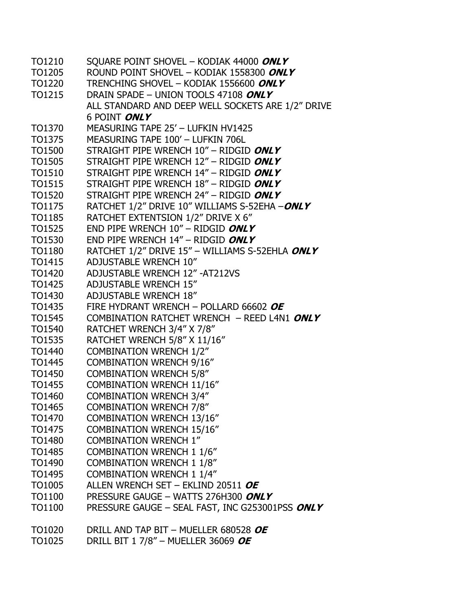| TO1210        | SQUARE POINT SHOVEL - KODIAK 44000 ONLY           |
|---------------|---------------------------------------------------|
| TO1205        | ROUND POINT SHOVEL - KODIAK 1558300 ONLY          |
| TO1220        | TRENCHING SHOVEL - KODIAK 1556600 ONLY            |
| TO1215        | DRAIN SPADE - UNION TOOLS 47108 ONLY              |
|               | ALL STANDARD AND DEEP WELL SOCKETS ARE 1/2" DRIVE |
|               | 6 POINT ONLY                                      |
| TO1370        | MEASURING TAPE 25' - LUFKIN HV1425                |
| TO1375        | MEASURING TAPE 100' - LUFKIN 706L                 |
| <b>TO1500</b> | STRAIGHT PIPE WRENCH $10''$ – RIDGID ONLY         |
| TO1505        | STRAIGHT PIPE WRENCH 12" - RIDGID ONLY            |
| TO1510        | STRAIGHT PIPE WRENCH 14" - RIDGID ONLY            |
| TO1515        | STRAIGHT PIPE WRENCH 18" - RIDGID ONLY            |
| TO1520        | STRAIGHT PIPE WRENCH 24" - RIDGID ONLY            |
| TO1175        | RATCHET 1/2" DRIVE 10" WILLIAMS S-52EHA -ONLY     |
| <b>TO1185</b> | RATCHET EXTENTSION 1/2" DRIVE X 6"                |
| TO1525        | END PIPE WRENCH $10''$ – RIDGID ONLY              |
| TO1530        | END PIPE WRENCH $14''$ - RIDGID ONLY              |
| <b>TO1180</b> | RATCHET 1/2" DRIVE 15" - WILLIAMS S-52EHLA ONLY   |
| TO1415        | <b>ADJUSTABLE WRENCH 10"</b>                      |
| TO1420        | <b>ADJUSTABLE WRENCH 12" -AT212VS</b>             |
| TO1425        | <b>ADJUSTABLE WRENCH 15"</b>                      |
| TO1430        | <b>ADJUSTABLE WRENCH 18"</b>                      |
| TO1435        | FIRE HYDRANT WRENCH - POLLARD 66602 OE            |
| TO1545        | COMBINATION RATCHET WRENCH - REED L4N1 ONLY       |
| TO1540        | RATCHET WRENCH 3/4" X 7/8"                        |
| TO1535        | RATCHET WRENCH 5/8" X 11/16"                      |
| TO1440        | <b>COMBINATION WRENCH 1/2"</b>                    |
| TO1445        | <b>COMBINATION WRENCH 9/16"</b>                   |
| TO1450        | <b>COMBINATION WRENCH 5/8"</b>                    |
| TO1455        | <b>COMBINATION WRENCH 11/16"</b>                  |
| TO1460        | <b>COMBINATION WRENCH 3/4"</b>                    |
| TO1465        | <b>COMBINATION WRENCH 7/8"</b>                    |
| TO1470        | <b>COMBINATION WRENCH 13/16"</b>                  |
| TO1475        | <b>COMBINATION WRENCH 15/16"</b>                  |
| TO1480        | <b>COMBINATION WRENCH 1"</b>                      |
| TO1485        | <b>COMBINATION WRENCH 1 1/6"</b>                  |
| TO1490        | <b>COMBINATION WRENCH 1 1/8"</b>                  |
| TO1495        | <b>COMBINATION WRENCH 1 1/4"</b>                  |
| TO1005        | ALLEN WRENCH SET - EKLIND 20511 OF                |
| TO1100        | PRESSURE GAUGE - WATTS 276H300 ONLY               |
| TO1100        | PRESSURE GAUGE - SEAL FAST, INC G253001PSS ONLY   |
|               |                                                   |
| TO1020        | DRILL AND TAP BIT - MUELLER 680528 OE             |
| TO1025        | DRILL BIT 1 7/8" – MUELLER 36069 OE               |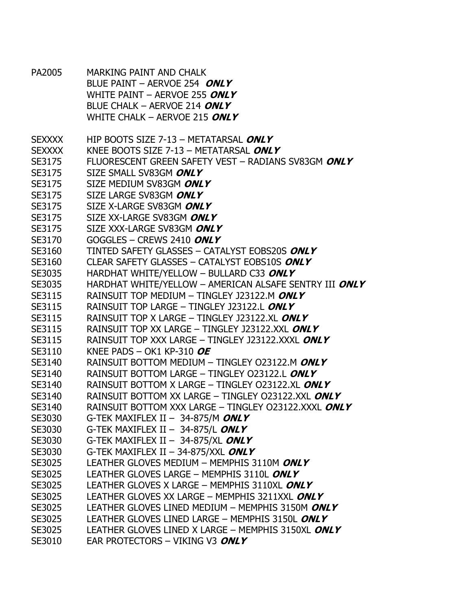PA2005 MARKING PAINT AND CHALK BLUE PAINT – AERVOE 254 **ONLY** WHITE PAINT – AERVOE 255 **ONLY** BLUE CHALK – AERVOE 214 **ONLY** WHITE CHALK – AERVOE 215 **ONLY** SEXXXX HIP BOOTS SIZE 7-13 – METATARSAL **ONLY** SEXXXX KNEE BOOTS SIZE 7-13 – METATARSAL **ONLY** SE3175 FLUORESCENT GREEN SAFETY VEST – RADIANS SV83GM **ONLY** SE3175 SIZE SMALL SV83GM **ONLY** SE3175 SIZE MEDIUM SV83GM **ONLY** SE3175 SIZE LARGE SV83GM **ONLY** SE3175 SIZE X-LARGE SV83GM **ONLY** SE3175 SIZE XX-LARGE SV83GM **ONLY** SE3175 SIZE XXX-LARGE SV83GM **ONLY** SE3170 GOGGLES – CREWS 2410 **ONLY** SE3160 TINTED SAFETY GLASSES – CATALYST EOBS20S **ONLY** SE3160 CLEAR SAFETY GLASSES – CATALYST EOBS10S **ONLY** SE3035 HARDHAT WHITE/YELLOW – BULLARD C33 **ONLY** SE3035 HARDHAT WHITE/YELLOW – AMERICAN ALSAFE SENTRY III **ONLY** SE3115 RAINSUIT TOP MEDIUM – TINGLEY J23122.M **ONLY** SE3115 RAINSUIT TOP LARGE – TINGLEY J23122.L **ONLY** SE3115 RAINSUIT TOP X LARGE – TINGLEY J23122.XL **ONLY** SE3115 RAINSUIT TOP XX LARGE – TINGLEY J23122.XXL **ONLY** SE3115 RAINSUIT TOP XXX LARGE – TINGLEY J23122.XXXL **ONLY** SE3110 KNEE PADS – OK1 KP-310 **OE** SE3140 RAINSUIT BOTTOM MEDIUM – TINGLEY O23122.M **ONLY** SE3140 RAINSUIT BOTTOM LARGE – TINGLEY O23122.L **ONLY** SE3140 RAINSUIT BOTTOM X LARGE – TINGLEY O23122.XL **ONLY** SE3140 RAINSUIT BOTTOM XX LARGE – TINGLEY O23122.XXL **ONLY** SE3140 RAINSUIT BOTTOM XXX LARGE – TINGLEY O23122.XXXL **ONLY** SE3030 G-TEK MAXIFLEX II – 34-875/M **ONLY** SE3030 G-TEK MAXIFLEX II – 34-875/L **ONLY** SE3030 G-TEK MAXIFLEX II – 34-875/XL **ONLY** SE3030 G-TEK MAXIFLEX II – 34-875/XXL **ONLY** SE3025 LEATHER GLOVES MEDIUM – MEMPHIS 3110M **ONLY** SE3025 LEATHER GLOVES LARGE – MEMPHIS 3110L **ONLY** SE3025 LEATHER GLOVES X LARGE – MEMPHIS 3110XL **ONLY** SE3025 LEATHER GLOVES XX LARGE – MEMPHIS 3211XXL **ONLY** SE3025 LEATHER GLOVES LINED MEDIUM – MEMPHIS 3150M **ONLY** SE3025 LEATHER GLOVES LINED LARGE – MEMPHIS 3150L **ONLY** SE3025 LEATHER GLOVES LINED X LARGE – MEMPHIS 3150XL **ONLY** SE3010 EAR PROTECTORS – VIKING V3 **ONLY**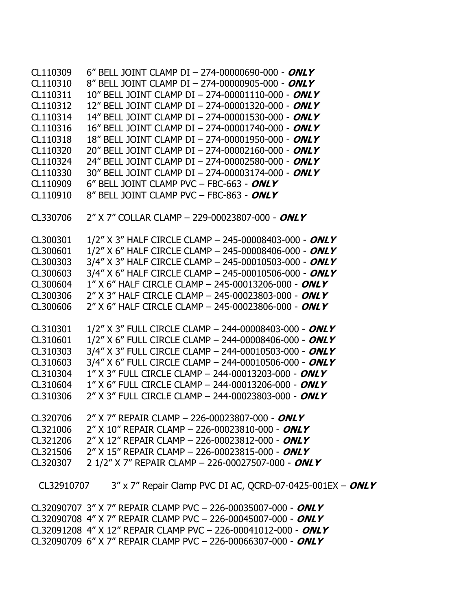CL110309 6" BELL JOINT CLAMP DI – 274-00000690-000 - **ONLY** CL110310 8" BELL JOINT CLAMP DI – 274-00000905-000 - **ONLY** CL110311 10" BELL JOINT CLAMP DI – 274-00001110-000 - **ONLY** CL110312 12" BELL JOINT CLAMP DI – 274-00001320-000 - **ONLY** CL110314 14" BELL JOINT CLAMP DI – 274-00001530-000 - **ONLY** CL110316 16" BELL JOINT CLAMP DI – 274-00001740-000 - **ONLY** CL110318 18" BELL JOINT CLAMP DI – 274-00001950-000 - **ONLY** CL110320 20" BELL JOINT CLAMP DI – 274-00002160-000 - **ONLY** CL110324 24" BELL JOINT CLAMP DI – 274-00002580-000 - **ONLY** CL110330 30" BELL JOINT CLAMP DI – 274-00003174-000 - **ONLY** CL110909 6" BELL JOINT CLAMP PVC – FBC-663 - **ONLY** CL110910 8" BELL JOINT CLAMP PVC – FBC-863 - **ONLY** CL330706 2" X 7" COLLAR CLAMP – 229-00023807-000 - **ONLY** CL300301 1/2" X 3" HALF CIRCLE CLAMP – 245-00008403-000 - **ONLY** CL300601 1/2" X 6" HALF CIRCLE CLAMP – 245-00008406-000 - **ONLY** CL300303 3/4" X 3" HALF CIRCLE CLAMP – 245-00010503-000 - **ONLY** CL300603 3/4" X 6" HALF CIRCLE CLAMP – 245-00010506-000 - **ONLY** CL300604 1" X 6" HALF CIRCLE CLAMP – 245-00013206-000 - **ONLY** CL300306 2" X 3" HALF CIRCLE CLAMP – 245-00023803-000 - **ONLY** CL300606 2" X 6" HALF CIRCLE CLAMP – 245-00023806-000 - **ONLY** CL310301 1/2" X 3" FULL CIRCLE CLAMP – 244-00008403-000 - **ONLY** CL310601 1/2" X 6" FULL CIRCLE CLAMP – 244-00008406-000 - **ONLY** CL310303 3/4" X 3" FULL CIRCLE CLAMP – 244-00010503-000 - **ONLY** CL310603 3/4" X 6" FULL CIRCLE CLAMP – 244-00010506-000 - **ONLY** CL310304 1" X 3" FULL CIRCLE CLAMP – 244-00013203-000 - **ONLY** CL310604 1" X 6" FULL CIRCLE CLAMP – 244-00013206-000 - **ONLY** CL310306 2" X 3" FULL CIRCLE CLAMP – 244-00023803-000 - **ONLY** CL320706 2" X 7" REPAIR CLAMP – 226-00023807-000 - **ONLY** CL321006 2" X 10" REPAIR CLAMP – 226-00023810-000 - **ONLY** CL321206 2" X 12" REPAIR CLAMP – 226-00023812-000 - **ONLY** CL321506 2" X 15" REPAIR CLAMP – 226-00023815-000 - **ONLY** CL320307 2 1/2" X 7" REPAIR CLAMP – 226-00027507-000 - **ONLY** CL32910707 3" x 7" Repair Clamp PVC DI AC, QCRD-07-0425-001EX – **ONLY**

CL32090707 3" X 7" REPAIR CLAMP PVC – 226-00035007-000 - **ONLY** CL32090708 4" X 7" REPAIR CLAMP PVC – 226-00045007-000 - **ONLY** CL32091208 4" X 12" REPAIR CLAMP PVC – 226-00041012-000 - **ONLY** CL32090709 6" X 7" REPAIR CLAMP PVC – 226-00066307-000 - **ONLY**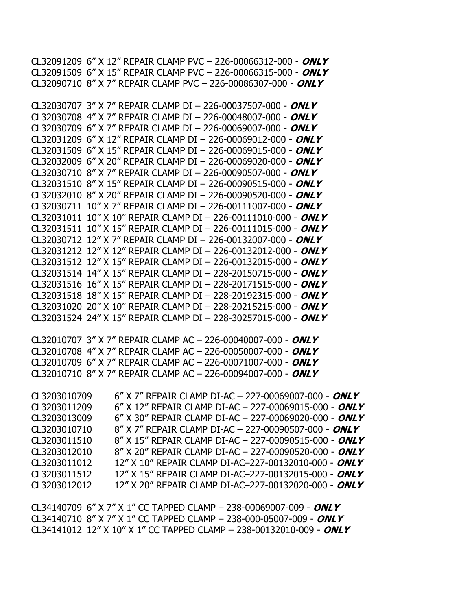CL34140709 6" X 7" X 1" CC TAPPED CLAMP – 238-00069007-009 - **ONLY** CL34140710 8" X 7" X 1" CC TAPPED CLAMP – 238-000-05007-009 - **ONLY** CL34141012 12" X 10" X 1" CC TAPPED CLAMP – 238-00132010-009 - **ONLY**

CL32010707 3" X 7" REPAIR CLAMP AC – 226-00040007-000 - **ONLY** CL32010708 4" X 7" REPAIR CLAMP AC – 226-00050007-000 - **ONLY** CL32010709 6" X 7" REPAIR CLAMP AC – 226-00071007-000 - **ONLY** CL32010710 8" X 7" REPAIR CLAMP AC – 226-00094007-000 - **ONLY** CL3203010709 6" X 7" REPAIR CLAMP DI-AC – 227-00069007-000 - **ONLY** CL3203011209 6" X 12" REPAIR CLAMP DI-AC – 227-00069015-000 - **ONLY** CL3203013009 6" X 30" REPAIR CLAMP DI-AC – 227-00069020-000 - **ONLY** CL3203010710 8" X 7" REPAIR CLAMP DI-AC – 227-00090507-000 - **ONLY** CL3203011510 8" X 15" REPAIR CLAMP DI-AC – 227-00090515-000 - **ONLY** CL3203012010 8" X 20" REPAIR CLAMP DI-AC – 227-00090520-000 - **ONLY** CL3203011012 12" X 10" REPAIR CLAMP DI-AC–227-00132010-000 - **ONLY** CL3203011512 12" X 15" REPAIR CLAMP DI-AC–227-00132015-000 - **ONLY** CL3203012012 12" X 20" REPAIR CLAMP DI-AC–227-00132020-000 - **ONLY**

CL32090710 8" X 7" REPAIR CLAMP PVC – 226-00086307-000 - **ONLY** CL32030707 3" X 7" REPAIR CLAMP DI – 226-00037507-000 - **ONLY** CL32030708 4" X 7" REPAIR CLAMP DI – 226-00048007-000 - **ONLY** CL32030709 6" X 7" REPAIR CLAMP DI – 226-00069007-000 - **ONLY** CL32031209 6" X 12" REPAIR CLAMP DI – 226-00069012-000 - **ONLY** CL32031509 6" X 15" REPAIR CLAMP DI – 226-00069015-000 - **ONLY** CL32032009 6" X 20" REPAIR CLAMP DI – 226-00069020-000 - **ONLY** CL32030710 8" X 7" REPAIR CLAMP DI – 226-00090507-000 - **ONLY** CL32031510 8" X 15" REPAIR CLAMP DI – 226-00090515-000 - **ONLY** CL32032010 8" X 20" REPAIR CLAMP DI – 226-00090520-000 - **ONLY** CL32030711 10" X 7" REPAIR CLAMP DI – 226-00111007-000 - **ONLY** CL32031011 10" X 10" REPAIR CLAMP DI – 226-00111010-000 - **ONLY** CL32031511 10" X 15" REPAIR CLAMP DI – 226-00111015-000 - **ONLY** CL32030712 12" X 7" REPAIR CLAMP DI – 226-00132007-000 - **ONLY** CL32031212 12" X 12" REPAIR CLAMP DI – 226-00132012-000 - **ONLY** CL32031512 12" X 15" REPAIR CLAMP DI – 226-00132015-000 - **ONLY** CL32031514 14" X 15" REPAIR CLAMP DI – 228-20150715-000 - **ONLY** CL32031516 16" X 15" REPAIR CLAMP DI – 228-20171515-000 - **ONLY** CL32031518 18" X 15" REPAIR CLAMP DI – 228-20192315-000 - **ONLY** CL32031020 20" X 10" REPAIR CLAMP DI – 228-20215215-000 - **ONLY** CL32031524 24" X 15" REPAIR CLAMP DI – 228-30257015-000 - **ONLY**

CL32091209 6" X 12" REPAIR CLAMP PVC – 226-00066312-000 - **ONLY** CL32091509 6" X 15" REPAIR CLAMP PVC – 226-00066315-000 - **ONLY**